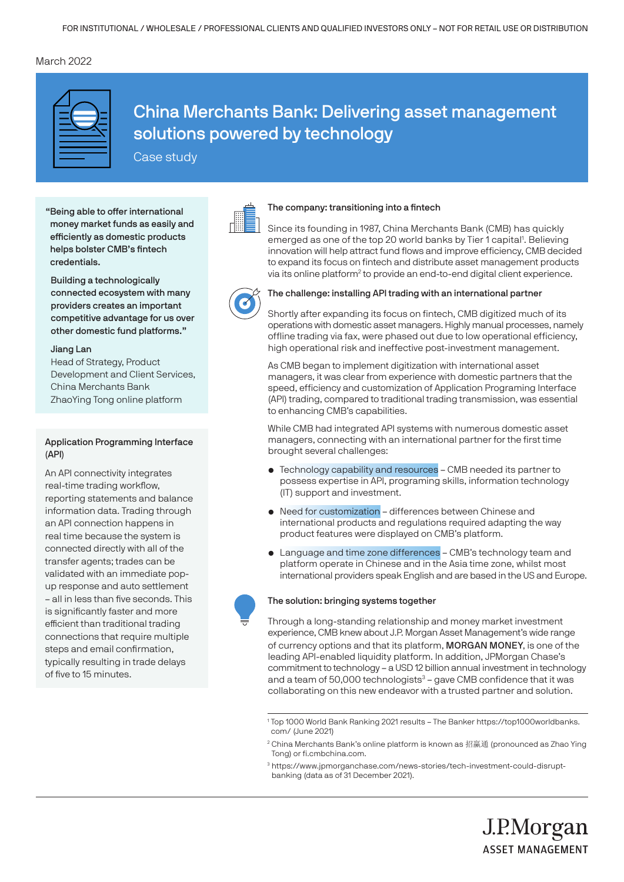# March 2022



China Merchants Bank: Delivering asset management solutions powered by technology

Case study

"Being able to offer international money market funds as easily and efficiently as domestic products helps bolster CMB's fintech credentials.

 Building a technologically connected ecosystem with many providers creates an important competitive advantage for us over other domestic fund platforms."

### Jiang Lan

 Head of Strategy, Product Development and Client Services, China Merchants Bank ZhaoYing Tong online platform

# Application Programming Interface (API)

An API connectivity integrates real-time trading workflow, reporting statements and balance information data. Trading through an API connection happens in real time because the system is connected directly with all of the transfer agents; trades can be validated with an immediate popup response and auto settlement – all in less than five seconds. This is significantly faster and more efficient than traditional trading connections that require multiple steps and email confirmation, typically resulting in trade delays of five to 15 minutes.

### The company: transitioning into a fintech

Since its founding in 1987, China Merchants Bank (CMB) has quickly emerged as one of the top 20 world banks by Tier 1 capital<sup>1</sup>. Believing innovation will help attract fund flows and improve efficiency, CMB decided to expand its focus on fintech and distribute asset management products via its online platform<sup>2</sup> to provide an end-to-end digital client experience.



### The challenge: installing API trading with an international partner

Shortly after expanding its focus on fintech, CMB digitized much of its operations with domestic asset managers. Highly manual processes, namely offline trading via fax, were phased out due to low operational efficiency, high operational risk and ineffective post-investment management.

As CMB began to implement digitization with international asset managers, it was clear from experience with domestic partners that the speed, efficiency and customization of Application Programing Interface (API) trading, compared to traditional trading transmission, was essential to enhancing CMB's capabilities.

While CMB had integrated API systems with numerous domestic asset managers, connecting with an international partner for the first time brought several challenges:

- Technology capability and resources CMB needed its partner to possess expertise in API, programing skills, information technology (IT) support and investment.
- Need for customization differences between Chinese and international products and regulations required adapting the way product features were displayed on CMB's platform.
- Language and time zone differences CMB's technology team and platform operate in Chinese and in the Asia time zone, whilst most international providers speak English and are based in the US and Europe.



### The solution: bringing systems together

Through a long-standing relationship and money market investment experience, CMB knew about J.P. Morgan Asset Management's wide range of currency options and that its platform, MORGAN MONEY, is one of the leading API-enabled liquidity platform. In addition, JPMorgan Chase's commitment to technology – a USD 12 billion annual investment in technology and a team of 50,000 technologists<sup>3</sup> – gave CMB confidence that it was collaborating on this new endeavor with a trusted partner and solution.

J.P.Morgan

**ASSET MANAGEMENT** 

<sup>1</sup> Top 1000 World Bank Ranking 2021 results – The Banker https://top1000worldbanks. com/ (June 2021)

 $2$  China Merchants Bank's online platform is known as 招赢通 (pronounced as Zhao Ying Tong) or fi.cmbchina.com.

<sup>3</sup> https://www.jpmorganchase.com/news-stories/tech-investment-could-disruptbanking (data as of 31 December 2021).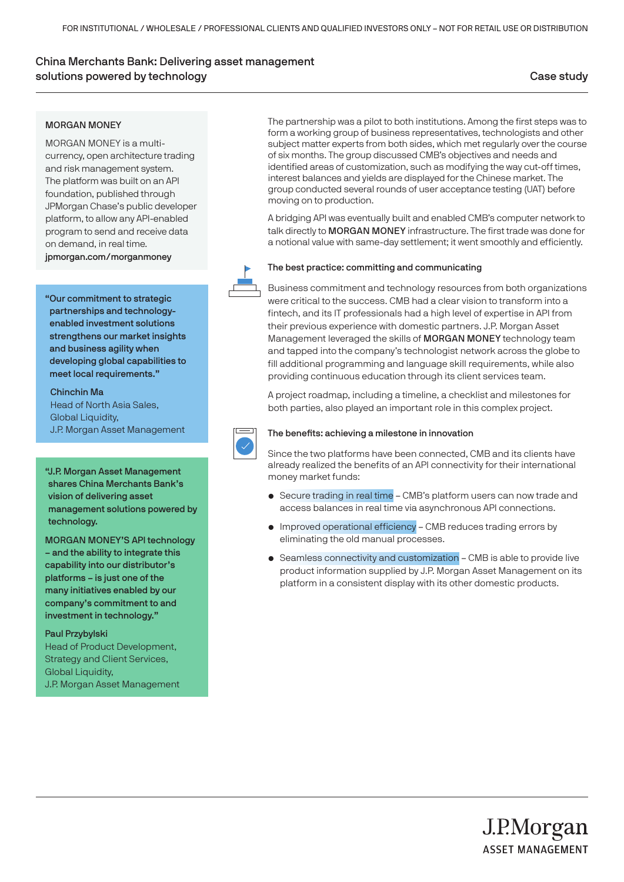# China Merchants Bank: Delivering asset management solutions powered by technology Case study Case study Case study Case  $\sim$

## MORGAN MONEY

MORGAN MONEY is a multicurrency, open architecture trading and risk management system. The platform was built on an API foundation, published through JPMorgan Chase's public developer platform, to allow any API-enabled program to send and receive data on demand, in real time. jpmorgan.com/morganmoney

"Our commitment to strategic partnerships and technologyenabled investment solutions strengthens our market insights and business agility when developing global capabilities to meet local requirements."

 Chinchin Ma Head of North Asia Sales, Global Liquidity, J.P. Morgan Asset Management

### "J.P. Morgan Asset Management

shares China Merchants Bank's vision of delivering asset management solutions powered by technology.

MORGAN MONEY'S API technology – and the ability to integrate this capability into our distributor's platforms – is just one of the many initiatives enabled by our company's commitment to and investment in technology."

Paul Przybylski Head of Product Development, Strategy and Client Services, **Global Liquidity,** J.P. Morgan Asset Management The partnership was a pilot to both institutions. Among the first steps was to form a working group of business representatives, technologists and other subject matter experts from both sides, which met regularly over the course of six months. The group discussed CMB's objectives and needs and identified areas of customization, such as modifying the way cut-off times, interest balances and yields are displayed for the Chinese market. The group conducted several rounds of user acceptance testing (UAT) before moving on to production.

A bridging API was eventually built and enabled CMB's computer network to talk directly to MORGAN MONEY infrastructure. The first trade was done for a notional value with same-day settlement; it went smoothly and efficiently.



### The best practice: committing and communicating

Business commitment and technology resources from both organizations were critical to the success. CMB had a clear vision to transform into a fintech, and its IT professionals had a high level of expertise in API from their previous experience with domestic partners. J.P. Morgan Asset Management leveraged the skills of MORGAN MONEY technology team and tapped into the company's technologist network across the globe to fill additional programming and language skill requirements, while also providing continuous education through its client services team.

A project roadmap, including a timeline, a checklist and milestones for both parties, also played an important role in this complex project.



# The benefits: achieving a milestone in innovation

Since the two platforms have been connected, CMB and its clients have already realized the benefits of an API connectivity for their international money market funds:

- Secure trading in real time CMB's platform users can now trade and access balances in real time via asynchronous API connections.
- Improved operational efficiency CMB reduces trading errors by eliminating the old manual processes.
- Seamless connectivity and customization CMB is able to provide live product information supplied by J.P. Morgan Asset Management on its platform in a consistent display with its other domestic products.